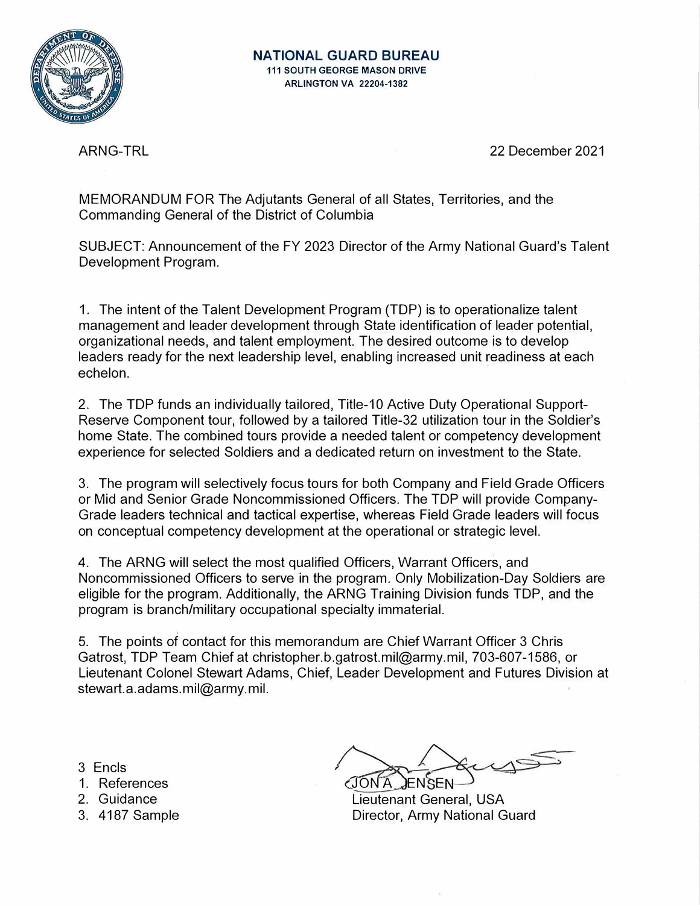

ARNG-TRL 22 December 2021

MEMORANDUM FOR The Adjutants General of all States, Territories, and the Commanding General of the District of Columbia

SUBJECT: Announcement of the FY 2023 Director of the Army National Guard's Talent Development Program.

1. The intent of the Talent Development Program (TOP) is to operationalize talent management and leader development through State identification of leader potential, organizational needs, and talent employment. The desired outcome is to develop leaders ready for the next leadership level, enabling increased unit readiness at each echelon.

2. The TOP funds an individually tailored, Title-10 Active Duty Operational Support-Reserve Component tour, followed by a tailored Title-32 utilization tour in the Soldier's home State. The combined tours provide a needed talent or competency development experience for selected Soldiers and a dedicated return on investment to the State.

3. The program will selectively focus tours for both Company and Field Grade Officers or Mid and Senior Grade Noncommissioned Officers. The TOP will provide Company-Grade leaders technical and tactical expertise, whereas Field Grade leaders will focus on conceptual competency development at the operational or strategic level.

4. The ARNG will select the most qualified Officers, Warrant Officers, and Noncommissioned Officers to serve in the program. Only Mobilization-Day Soldiers are eligible for the program. Additionally, the ARNG Training Division funds TOP, and the program is branch/military occupational specialty immaterial.

' 5. The points of contact for this memorandum are Chief Warrant Officer 3 Chris Gatrost, TOP Team Chief at christopher.b.gatrost.mil@army.mil, 703-607-1586, or Lieutenant Colonel Stewart Adams, Chief, Leader Development and Futures Division at stewart.a.adams.mil@army.mil.

- 3 Encls
- 1 . References
- 2. Guidance
- 3. 4187 Sample

*/I*  JON A JENSEN

Lieutenant General, USA Director, Army National Guard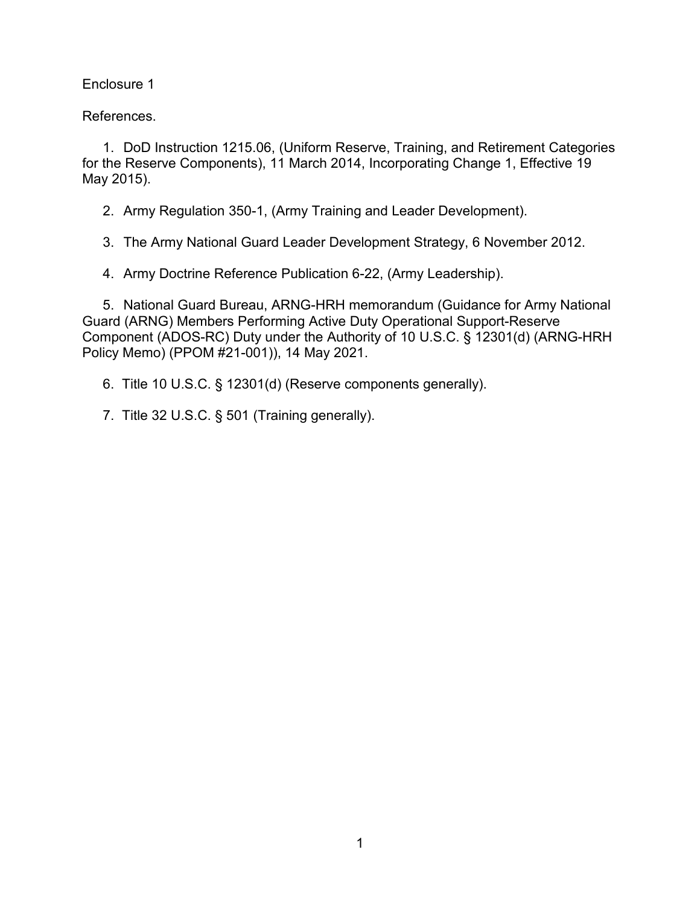Enclosure 1

References.

1. DoD Instruction 1215.06, (Uniform Reserve, Training, and Retirement Categories for the Reserve Components), 11 March 2014, Incorporating Change 1, Effective 19 May 2015).

2. Army Regulation 350-1, (Army Training and Leader Development).

3. The Army National Guard Leader Development Strategy, 6 November 2012.

4. Army Doctrine Reference Publication 6-22, (Army Leadership).

5. National Guard Bureau, ARNG-HRH memorandum (Guidance for Army National Guard (ARNG) Members Performing Active Duty Operational Support-Reserve Component (ADOS-RC) Duty under the Authority of 10 U.S.C. § 12301(d) (ARNG-HRH Policy Memo) (PPOM #21-001)), 14 May 2021.

6. Title 10 U.S.C. § 12301(d) (Reserve components generally).

7. Title 32 U.S.C. § 501 (Training generally).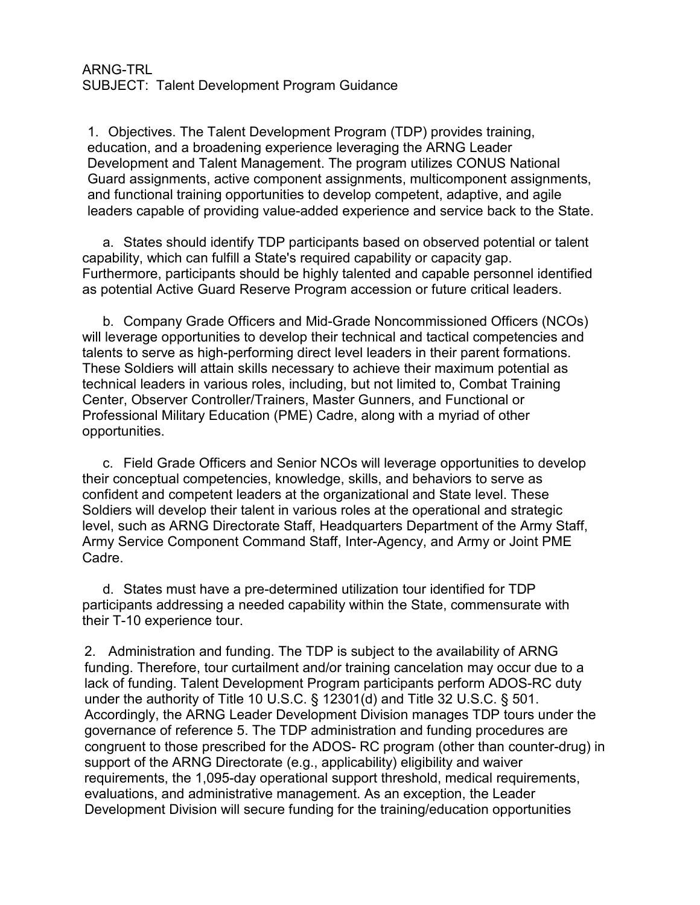## ARNG-TRL SUBJECT: Talent Development Program Guidance

1. Objectives. The Talent Development Program (TDP) provides training, education, and a broadening experience leveraging the ARNG Leader Development and Talent Management. The program utilizes CONUS National Guard assignments, active component assignments, multicomponent assignments, and functional training opportunities to develop competent, adaptive, and agile leaders capable of providing value-added experience and service back to the State.

a. States should identify TDP participants based on observed potential or talent capability, which can fulfill a State's required capability or capacity gap. Furthermore, participants should be highly talented and capable personnel identified as potential Active Guard Reserve Program accession or future critical leaders.

b. Company Grade Officers and Mid-Grade Noncommissioned Officers (NCOs) will leverage opportunities to develop their technical and tactical competencies and talents to serve as high-performing direct level leaders in their parent formations. These Soldiers will attain skills necessary to achieve their maximum potential as technical leaders in various roles, including, but not limited to, Combat Training Center, Observer Controller/Trainers, Master Gunners, and Functional or Professional Military Education (PME) Cadre, along with a myriad of other opportunities.

c. Field Grade Officers and Senior NCOs will leverage opportunities to develop their conceptual competencies, knowledge, skills, and behaviors to serve as confident and competent leaders at the organizational and State level. These Soldiers will develop their talent in various roles at the operational and strategic level, such as ARNG Directorate Staff, Headquarters Department of the Army Staff, Army Service Component Command Staff, Inter-Agency, and Army or Joint PME Cadre.

d. States must have a pre-determined utilization tour identified for TDP participants addressing a needed capability within the State, commensurate with their T-10 experience tour.

2. Administration and funding. The TDP is subject to the availability of ARNG funding. Therefore, tour curtailment and/or training cancelation may occur due to a lack of funding. Talent Development Program participants perform ADOS-RC duty under the authority of Title 10 U.S.C. § 12301(d) and Title 32 U.S.C. § 501. Accordingly, the ARNG Leader Development Division manages TDP tours under the governance of reference 5. The TDP administration and funding procedures are congruent to those prescribed for the ADOS- RC program (other than counter-drug) in support of the ARNG Directorate (e.g., applicability) eligibility and waiver requirements, the 1,095-day operational support threshold, medical requirements, evaluations, and administrative management. As an exception, the Leader Development Division will secure funding for the training/education opportunities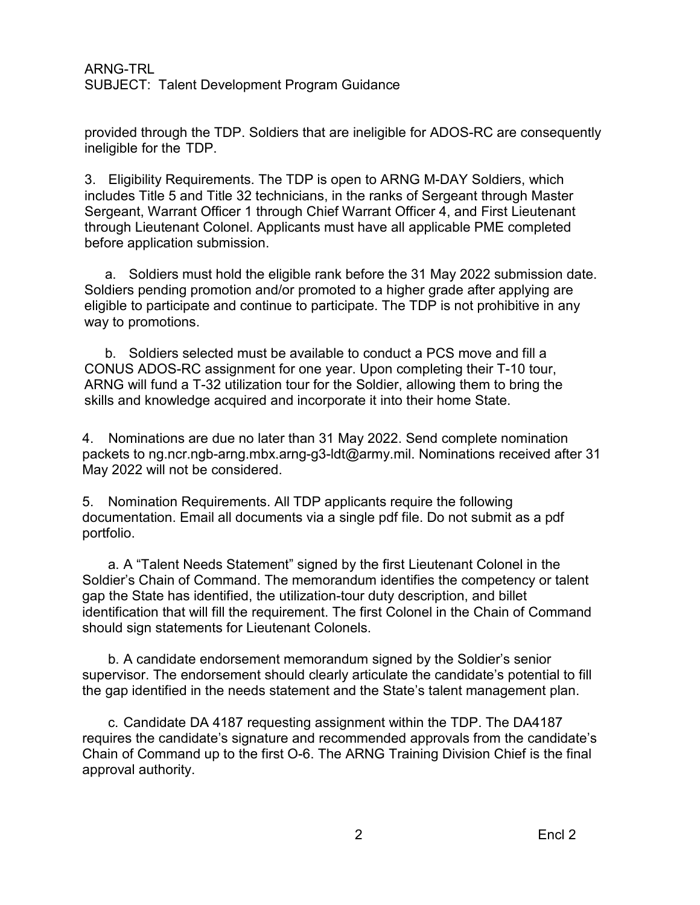## ARNG-TRL SUBJECT: Talent Development Program Guidance

provided through the TDP. Soldiers that are ineligible for ADOS-RC are consequently ineligible for the TDP.

3. Eligibility Requirements. The TDP is open to ARNG M-DAY Soldiers, which includes Title 5 and Title 32 technicians, in the ranks of Sergeant through Master Sergeant, Warrant Officer 1 through Chief Warrant Officer 4, and First Lieutenant through Lieutenant Colonel. Applicants must have all applicable PME completed before application submission.

a. Soldiers must hold the eligible rank before the 31 May 2022 submission date. Soldiers pending promotion and/or promoted to a higher grade after applying are eligible to participate and continue to participate. The TDP is not prohibitive in any way to promotions.

b. Soldiers selected must be available to conduct a PCS move and fill a CONUS ADOS-RC assignment for one year. Upon completing their T-10 tour, ARNG will fund a T-32 utilization tour for the Soldier, allowing them to bring the skills and knowledge acquired and incorporate it into their home State.

4. Nominations are due no later than 31 May 2022. Send complete nomination packets to [ng.ncr.ngb-arng.mbx.arng-g3-ldt@army.mil. N](mailto:ng.ncr.ngb-arng.mbx.arng-g3-ldt@mail.mil)ominations received after 31 May 2022 will not be considered.

5. Nomination Requirements. All TDP applicants require the following documentation. Email all documents via a single pdf file. Do not submit as a pdf portfolio.

a. A "Talent Needs Statement" signed by the first Lieutenant Colonel in the Soldier's Chain of Command. The memorandum identifies the competency or talent gap the State has identified, the utilization-tour duty description, and billet identification that will fill the requirement. The first Colonel in the Chain of Command should sign statements for Lieutenant Colonels.

b. A candidate endorsement memorandum signed by the Soldier's senior supervisor. The endorsement should clearly articulate the candidate's potential to fill the gap identified in the needs statement and the State's talent management plan.

c. Candidate DA 4187 requesting assignment within the TDP. The DA4187 requires the candidate's signature and recommended approvals from the candidate's Chain of Command up to the first O-6. The ARNG Training Division Chief is the final approval authority.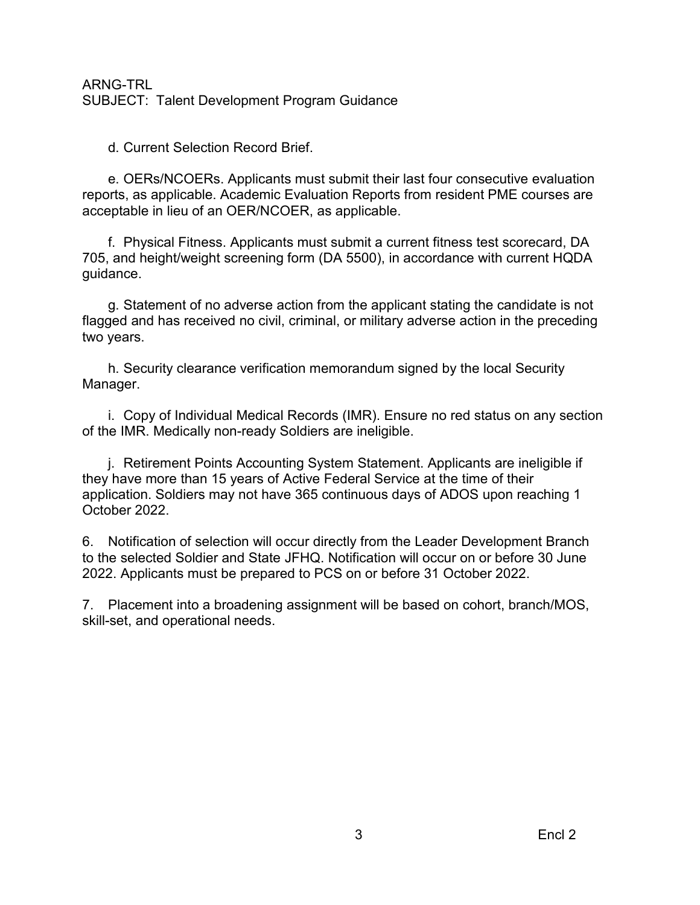## ARNG-TRL SUBJECT: Talent Development Program Guidance

d. Current Selection Record Brief.

e. OERs/NCOERs. Applicants must submit their last four consecutive evaluation reports, as applicable. Academic Evaluation Reports from resident PME courses are acceptable in lieu of an OER/NCOER, as applicable.

f. Physical Fitness. Applicants must submit a current fitness test scorecard, DA 705, and height/weight screening form (DA 5500), in accordance with current HQDA guidance.

g. Statement of no adverse action from the applicant stating the candidate is not flagged and has received no civil, criminal, or military adverse action in the preceding two years.

h. Security clearance verification memorandum signed by the local Security Manager.

i. Copy of Individual Medical Records (IMR). Ensure no red status on any section of the IMR. Medically non-ready Soldiers are ineligible.

j. Retirement Points Accounting System Statement. Applicants are ineligible if they have more than 15 years of Active Federal Service at the time of their application. Soldiers may not have 365 continuous days of ADOS upon reaching 1 October 2022.

6. Notification of selection will occur directly from the Leader Development Branch to the selected Soldier and State JFHQ. Notification will occur on or before 30 June 2022. Applicants must be prepared to PCS on or before 31 October 2022.

7. Placement into a broadening assignment will be based on cohort, branch/MOS, skill-set, and operational needs.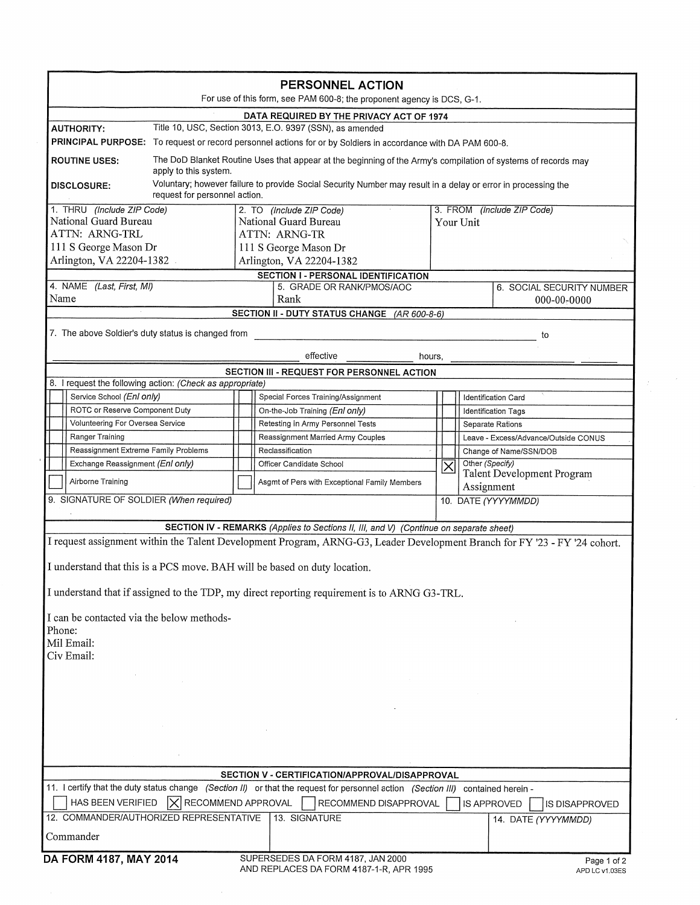|                                                                                                               | PERSONNEL ACTION<br>For use of this form, see PAM 600-8; the proponent agency is DCS, G-1.                                       |                                                                                                                            |
|---------------------------------------------------------------------------------------------------------------|----------------------------------------------------------------------------------------------------------------------------------|----------------------------------------------------------------------------------------------------------------------------|
|                                                                                                               | DATA REQUIRED BY THE PRIVACY ACT OF 1974                                                                                         |                                                                                                                            |
| <b>AUTHORITY:</b>                                                                                             | Title 10, USC, Section 3013, E.O. 9397 (SSN), as amended                                                                         |                                                                                                                            |
| PRINCIPAL PURPOSE: To request or record personnel actions for or by Soldiers in accordance with DA PAM 600-8. |                                                                                                                                  |                                                                                                                            |
| <b>ROUTINE USES:</b>                                                                                          |                                                                                                                                  | The DoD Blanket Routine Uses that appear at the beginning of the Army's compilation of systems of records may              |
| apply to this system.                                                                                         |                                                                                                                                  |                                                                                                                            |
| <b>DISCLOSURE:</b>                                                                                            | request for personnel action.                                                                                                    | Voluntary; however failure to provide Social Security Number may result in a delay or error in processing the              |
| 1. THRU (Include ZIP Code)<br>National Guard Bureau                                                           | 2. TO (Include ZIP Code)                                                                                                         | 3. FROM (Include ZIP Code)                                                                                                 |
| ATTN: ARNG-TRL                                                                                                | National Guard Bureau                                                                                                            | Your Unit                                                                                                                  |
| 111 S George Mason Dr                                                                                         | ATTN: ARNG-TR                                                                                                                    |                                                                                                                            |
| Arlington, VA 22204-1382.                                                                                     | 111 S George Mason Dr<br>Arlington, VA 22204-1382                                                                                |                                                                                                                            |
|                                                                                                               | <b>SECTION I - PERSONAL IDENTIFICATION</b>                                                                                       |                                                                                                                            |
| 4. NAME (Last, First, MI)                                                                                     | 5. GRADE OR RANK/PMOS/AOC                                                                                                        | 6. SOCIAL SECURITY NUMBER                                                                                                  |
| Name                                                                                                          | Rank                                                                                                                             | $000 - 00 - 0000$                                                                                                          |
|                                                                                                               | SECTION II - DUTY STATUS CHANGE (AR 600-8-6)                                                                                     |                                                                                                                            |
| 7. The above Soldier's duty status is changed from                                                            |                                                                                                                                  |                                                                                                                            |
|                                                                                                               | effective                                                                                                                        | to                                                                                                                         |
|                                                                                                               |                                                                                                                                  | hours,                                                                                                                     |
| 8. I request the following action: (Check as appropriate)                                                     | SECTION III - REQUEST FOR PERSONNEL ACTION                                                                                       |                                                                                                                            |
| Service School (Enl only)                                                                                     | Special Forces Training/Assignment                                                                                               | <b>Identification Card</b>                                                                                                 |
| ROTC or Reserve Component Duty                                                                                | On-the-Job Training (Enl only)                                                                                                   | <b>Identification Tags</b>                                                                                                 |
| Volunteering For Oversea Service                                                                              | Retesting in Army Personnel Tests                                                                                                | Separate Rations                                                                                                           |
| Ranger Training                                                                                               | Reassignment Married Army Couples                                                                                                | Leave - Excess/Advance/Outside CONUS                                                                                       |
| Reassignment Extreme Family Problems                                                                          | Reclassification                                                                                                                 | Change of Name/SSN/DOB                                                                                                     |
| Exchange Reassignment (Enl only)                                                                              | Officer Candidate School                                                                                                         | Other (Specify)<br>$\overline{\sf x}$                                                                                      |
|                                                                                                               |                                                                                                                                  | Talent Development Program                                                                                                 |
| Airborne Training                                                                                             | Asgmt of Pers with Exceptional Family Members                                                                                    | Assignment                                                                                                                 |
| 9. SIGNATURE OF SOLDIER (When required)                                                                       |                                                                                                                                  | 10. DATE (YYYYMMDD)                                                                                                        |
|                                                                                                               | SECTION IV - REMARKS (Applies to Sections II, III, and V) (Continue on separate sheet)                                           |                                                                                                                            |
|                                                                                                               |                                                                                                                                  | I request assignment within the Talent Development Program, ARNG-G3, Leader Development Branch for FY '23 - FY '24 cohort. |
|                                                                                                               | I understand that this is a PCS move. BAH will be based on duty location.                                                        |                                                                                                                            |
|                                                                                                               | I understand that if assigned to the TDP, my direct reporting requirement is to ARNG G3-TRL.                                     |                                                                                                                            |
| I can be contacted via the below methods-                                                                     |                                                                                                                                  |                                                                                                                            |
| Phone:                                                                                                        |                                                                                                                                  |                                                                                                                            |
| Mil Email:                                                                                                    |                                                                                                                                  |                                                                                                                            |
| Civ Email:                                                                                                    |                                                                                                                                  |                                                                                                                            |
|                                                                                                               |                                                                                                                                  |                                                                                                                            |
|                                                                                                               |                                                                                                                                  |                                                                                                                            |
|                                                                                                               |                                                                                                                                  |                                                                                                                            |
|                                                                                                               |                                                                                                                                  |                                                                                                                            |
|                                                                                                               |                                                                                                                                  |                                                                                                                            |
|                                                                                                               |                                                                                                                                  |                                                                                                                            |
|                                                                                                               |                                                                                                                                  |                                                                                                                            |
|                                                                                                               |                                                                                                                                  |                                                                                                                            |
|                                                                                                               | SECTION V - CERTIFICATION/APPROVAL/DISAPPROVAL                                                                                   |                                                                                                                            |
|                                                                                                               | 11. I certify that the duty status change (Section II) or that the request for personnel action (Section III) contained herein - |                                                                                                                            |
| HAS BEEN VERIFIED                                                                                             | $ \times $ RECOMMEND APPROVAL<br>RECOMMEND DISAPPROVAL                                                                           | <b>IS APPROVED</b><br>IS DISAPPROVED                                                                                       |
| 12. COMMANDER/AUTHORIZED REPRESENTATIVE                                                                       | 13. SIGNATURE                                                                                                                    | 14. DATE (YYYYMMDD)                                                                                                        |
| Commander                                                                                                     |                                                                                                                                  |                                                                                                                            |
| DA FORM 4187, MAY 2014                                                                                        | SUPERSEDES DA FORM 4187, JAN 2000                                                                                                | Page 1 of 2                                                                                                                |
|                                                                                                               | AND REPLACES DA FORM 4187-1-R, APR 1995                                                                                          | APD LC v1.03ES                                                                                                             |

 $\label{eq:2} \frac{1}{2} \sum_{i=1}^n \frac{1}{2} \sum_{j=1}^n \frac{1}{2} \sum_{j=1}^n \frac{1}{2} \sum_{j=1}^n \frac{1}{2} \sum_{j=1}^n \frac{1}{2} \sum_{j=1}^n \frac{1}{2} \sum_{j=1}^n \frac{1}{2} \sum_{j=1}^n \frac{1}{2} \sum_{j=1}^n \frac{1}{2} \sum_{j=1}^n \frac{1}{2} \sum_{j=1}^n \frac{1}{2} \sum_{j=1}^n \frac{1}{2} \sum_{j=1}^n \frac{1}{$ 

 $\sim$